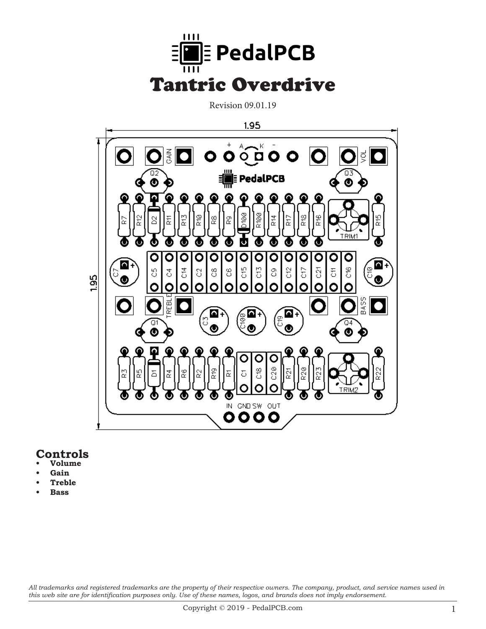

## **Controls**

- **• Volume**
- **• Gain**
- **• Treble**
- **• Bass**

*All trademarks and registered trademarks are the property of their respective owners. The company, product, and service names used in this web site are for identification purposes only. Use of these names, logos, and brands does not imply endorsement.*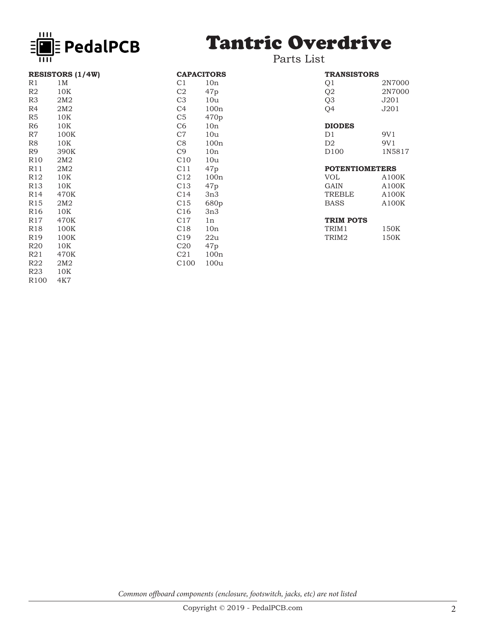

## Tantric Overdrive

|      | <b>RESISTORS (1/4W)</b> |                  | <b>CAPACITORS</b> |  |  |
|------|-------------------------|------------------|-------------------|--|--|
| R1   | 1M                      | C1               | 10n               |  |  |
| R2   | 10K                     | C2               | 47p               |  |  |
| R3   | 2M <sub>2</sub>         | C <sub>3</sub>   | 10u               |  |  |
| R4   | 2M2                     | C4               | 100n              |  |  |
| R5   | 10K                     | C <sub>5</sub>   | 470p              |  |  |
| R6   | 10K                     | C <sub>6</sub>   | 10n               |  |  |
| R7   | 100K                    | C7               | 10u               |  |  |
| R8   | 10K                     | C8               | 100n              |  |  |
| R9   | 390K                    | C <sub>9</sub>   | 10n               |  |  |
| R10  | 2M2                     | C10              | 10u               |  |  |
| R11  | 2M <sub>2</sub>         | C11              | 47p               |  |  |
| R12  | 10K                     | C12              | 100n              |  |  |
| R13  | 10K                     | C <sub>13</sub>  | 47p               |  |  |
| R14  | 470K                    | C <sub>14</sub>  | 3n3               |  |  |
| R15  | 2M2                     | C15              | 680p              |  |  |
| R16  | 10K                     | C16              | 3n3               |  |  |
| R17  | 470K                    | C17              | 1n                |  |  |
| R18  | 100K                    | C18              | 10n               |  |  |
| R19  | 100K                    | C19              | 22u               |  |  |
| R20  | 10K                     | C <sub>20</sub>  | 47 <sub>p</sub>   |  |  |
| R21  | 470K                    | C <sub>21</sub>  | 100n              |  |  |
| R22  | 2M2                     | C <sub>100</sub> | 100u              |  |  |
| R23  | 10K                     |                  |                   |  |  |
| R100 | 4K7                     |                  |                   |  |  |

## Parts List

| <b>TRANSISTORS</b>    |        |  |  |  |  |  |
|-----------------------|--------|--|--|--|--|--|
| Q1                    | 2N7000 |  |  |  |  |  |
| Q2                    | 2N7000 |  |  |  |  |  |
| Q <sub>3</sub>        | J201   |  |  |  |  |  |
| O4                    | J201   |  |  |  |  |  |
| <b>DIODES</b>         |        |  |  |  |  |  |
| D1                    | 9V1    |  |  |  |  |  |
| D2                    | 9V1    |  |  |  |  |  |
| D <sub>100</sub>      | 1N5817 |  |  |  |  |  |
| <b>POTENTIOMETERS</b> |        |  |  |  |  |  |
| <b>VOL</b>            | A100K  |  |  |  |  |  |
| GAIN                  | A100K  |  |  |  |  |  |
| <b>TREBLE</b>         | A100K  |  |  |  |  |  |
| <b>BASS</b>           | A100K  |  |  |  |  |  |
| <b>TRIM POTS</b>      |        |  |  |  |  |  |
| TRIM <sub>1</sub>     | 150K   |  |  |  |  |  |
| TRIM2                 | 150K   |  |  |  |  |  |

| Common offboard components (enclosure, footswitch, jacks, etc) are not listed |  |  |  |
|-------------------------------------------------------------------------------|--|--|--|
|                                                                               |  |  |  |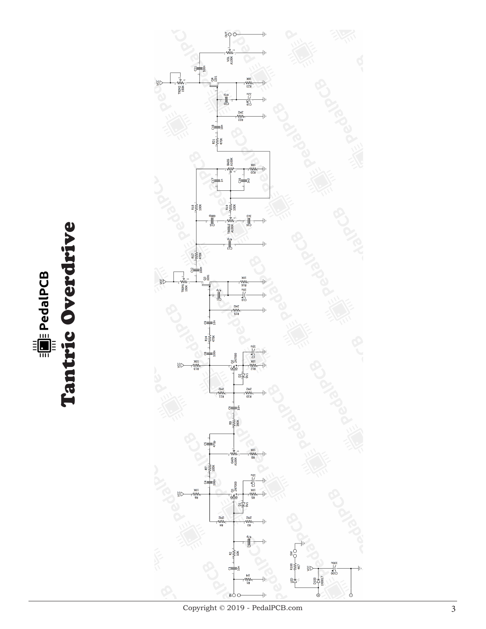

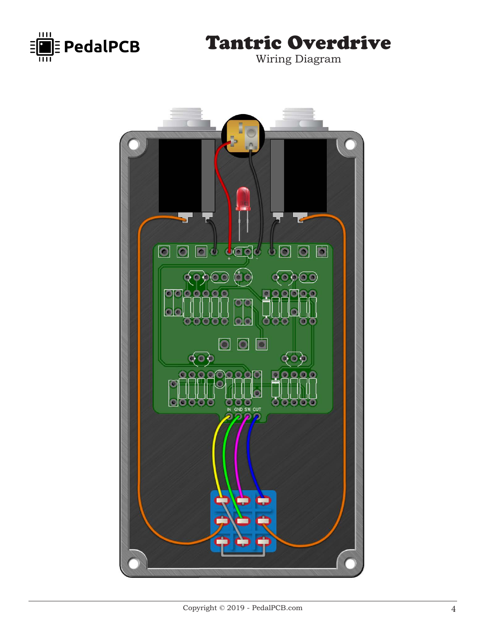

Tantric Overdrive

Wiring Diagram